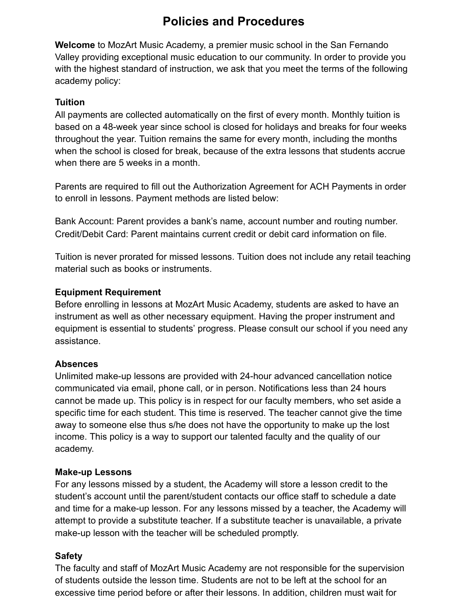# **Policies and Procedures**

**Welcome** to MozArt Music Academy, a premier music school in the San Fernando Valley providing exceptional music education to our community. In order to provide you with the highest standard of instruction, we ask that you meet the terms of the following academy policy:

#### **Tuition**

All payments are collected automatically on the first of every month. Monthly tuition is based on a 48-week year since school is closed for holidays and breaks for four weeks throughout the year. Tuition remains the same for every month, including the months when the school is closed for break, because of the extra lessons that students accrue when there are 5 weeks in a month.

Parents are required to fill out the Authorization Agreement for ACH Payments in order to enroll in lessons. Payment methods are listed below:

Bank Account: Parent provides a bank's name, account number and routing number. Credit/Debit Card: Parent maintains current credit or debit card information on file.

Tuition is never prorated for missed lessons. Tuition does not include any retail teaching material such as books or instruments.

#### **Equipment Requirement**

Before enrolling in lessons at MozArt Music Academy, students are asked to have an instrument as well as other necessary equipment. Having the proper instrument and equipment is essential to students' progress. Please consult our school if you need any assistance.

#### **Absences**

Unlimited make-up lessons are provided with 24-hour advanced cancellation notice communicated via email, phone call, or in person. Notifications less than 24 hours cannot be made up. This policy is in respect for our faculty members, who set aside a specific time for each student. This time is reserved. The teacher cannot give the time away to someone else thus s/he does not have the opportunity to make up the lost income. This policy is a way to support our talented faculty and the quality of our academy.

#### **Make-up Lessons**

For any lessons missed by a student, the Academy will store a lesson credit to the student's account until the parent/student contacts our office staff to schedule a date and time for a make-up lesson. For any lessons missed by a teacher, the Academy will attempt to provide a substitute teacher. If a substitute teacher is unavailable, a private make-up lesson with the teacher will be scheduled promptly.

#### **Safety**

The faculty and staff of MozArt Music Academy are not responsible for the supervision of students outside the lesson time. Students are not to be left at the school for an excessive time period before or after their lessons. In addition, children must wait for